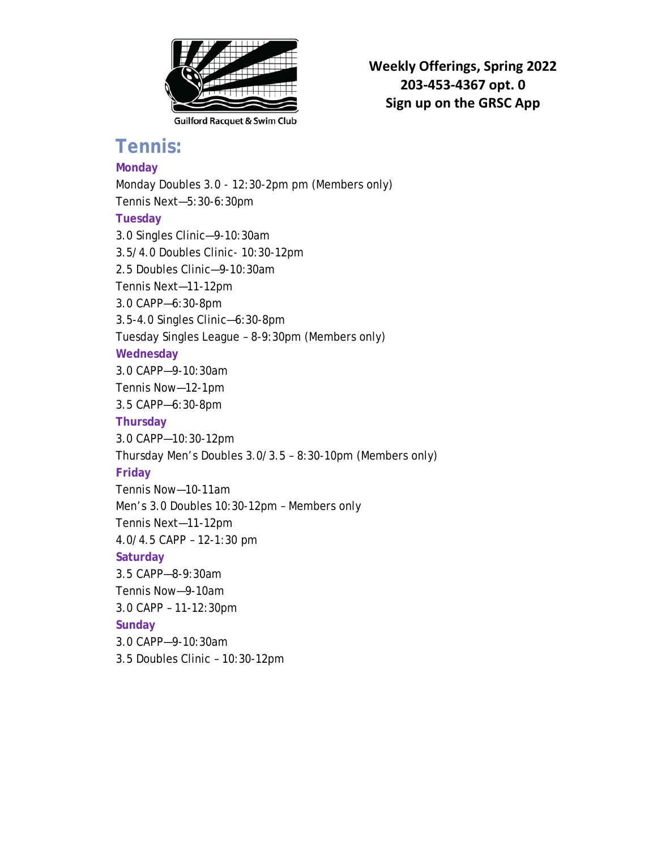

**Weekly Offerings, Spring 2022 203-453-4367 opt. 0 Sign up on the GRSC App**

## **Tennis:**

## **Monday**

Monday Doubles 3.0 - 12:30-2pm pm (Members only) Tennis Next—5:30-6:30pm **Tuesday** 3.0 Singles Clinic—9-10:30am 3.5/4.0 Doubles Clinic- 10:30-12pm 2.5 Doubles Clinic—9-10:30am Tennis Next—11-12pm 3.0 CAPP—6:30-8pm 3.5-4.0 Singles Clinic—6:30-8pm Tuesday Singles League – 8-9:30pm (Members only) **Wednesday** 3.0 CAPP—9-10:30am Tennis Now—12-1pm 3.5 CAPP—6:30-8pm **Thursday** 3.0 CAPP—10:30-12pm Thursday Men's Doubles 3.0/3.5 – 8:30-10pm (Members only) **Friday** Tennis Now—10-11am Men's 3.0 Doubles 10:30-12pm – Members only Tennis Next—11-12pm 4.0/4.5 CAPP – 12-1:30 pm **Saturday** 3.5 CAPP—8-9:30am Tennis Now—9-10am 3.0 CAPP – 11-12:30pm **Sunday** 3.0 CAPP—9-10:30am 3.5 Doubles Clinic – 10:30-12pm